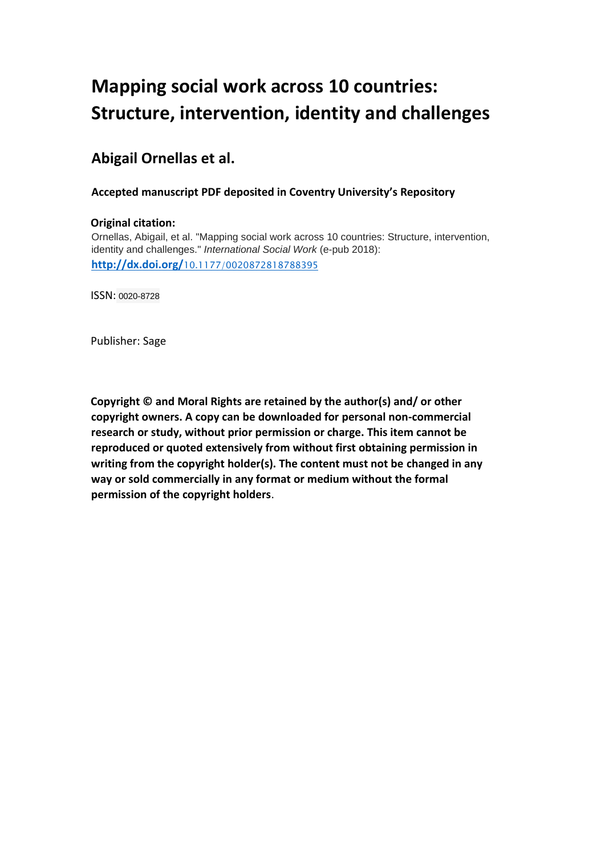# **Mapping social work across 10 countries: Structure, intervention, identity and challenges**

# **Abigail Ornellas et al.**

# **Accepted manuscript PDF deposited in Coventry University's Repository**

### **Original citation:**

Ornellas, Abigail, et al. "Mapping social work across 10 countries: Structure, intervention, identity and challenges." *International Social Work* (e-pub 2018): **http://dx.doi.org/**[10.1177/0020872818788395](http://dx.doi.org/10.1177/0020872818788395) 

ISSN: 0020-8728

Publisher: Sage

**Copyright © and Moral Rights are retained by the author(s) and/ or other copyright owners. A copy can be downloaded for personal non-commercial research or study, without prior permission or charge. This item cannot be reproduced or quoted extensively from without first obtaining permission in writing from the copyright holder(s). The content must not be changed in any way or sold commercially in any format or medium without the formal permission of the copyright holders**.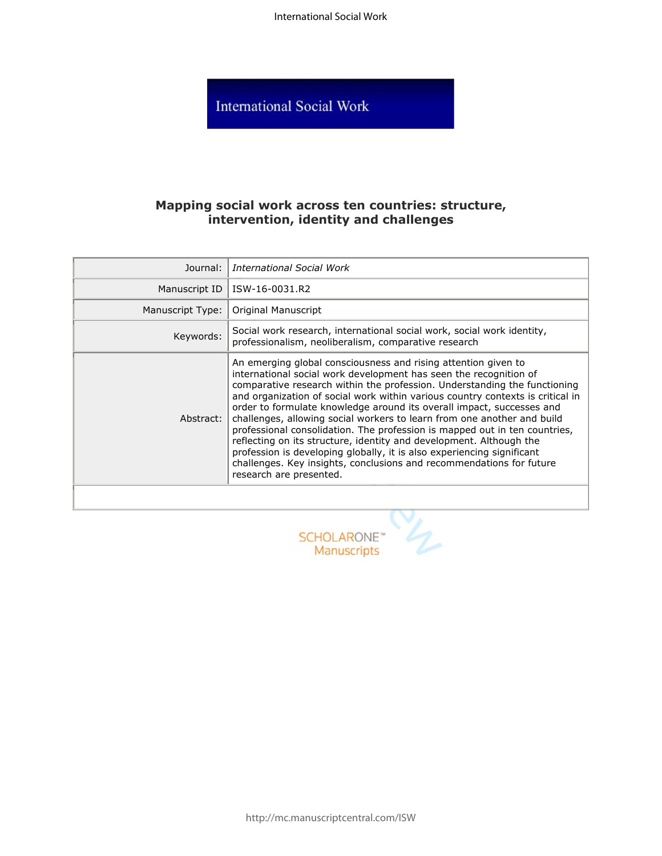International Social Work

**International Social Work** 

# **Mapping social work across ten countries: structure, intervention, identity and challenges**

| Journal:         | <b>International Social Work</b>                                                                                                                                                                                                                                                                                                                                                                                                                                                                                                                                                                                                                                                                                                                                                         |
|------------------|------------------------------------------------------------------------------------------------------------------------------------------------------------------------------------------------------------------------------------------------------------------------------------------------------------------------------------------------------------------------------------------------------------------------------------------------------------------------------------------------------------------------------------------------------------------------------------------------------------------------------------------------------------------------------------------------------------------------------------------------------------------------------------------|
| Manuscript ID    | ISW-16-0031.R2                                                                                                                                                                                                                                                                                                                                                                                                                                                                                                                                                                                                                                                                                                                                                                           |
| Manuscript Type: | Original Manuscript                                                                                                                                                                                                                                                                                                                                                                                                                                                                                                                                                                                                                                                                                                                                                                      |
| Keywords:        | Social work research, international social work, social work identity,<br>professionalism, neoliberalism, comparative research                                                                                                                                                                                                                                                                                                                                                                                                                                                                                                                                                                                                                                                           |
| Abstract:        | An emerging global consciousness and rising attention given to<br>international social work development has seen the recognition of<br>comparative research within the profession. Understanding the functioning<br>and organization of social work within various country contexts is critical in<br>order to formulate knowledge around its overall impact, successes and<br>challenges, allowing social workers to learn from one another and build<br>professional consolidation. The profession is mapped out in ten countries,<br>reflecting on its structure, identity and development. Although the<br>profession is developing globally, it is also experiencing significant<br>challenges. Key insights, conclusions and recommendations for future<br>research are presented. |
|                  |                                                                                                                                                                                                                                                                                                                                                                                                                                                                                                                                                                                                                                                                                                                                                                                          |
|                  | <b>SCHOLARONE</b> "<br><b>Manuscripts</b>                                                                                                                                                                                                                                                                                                                                                                                                                                                                                                                                                                                                                                                                                                                                                |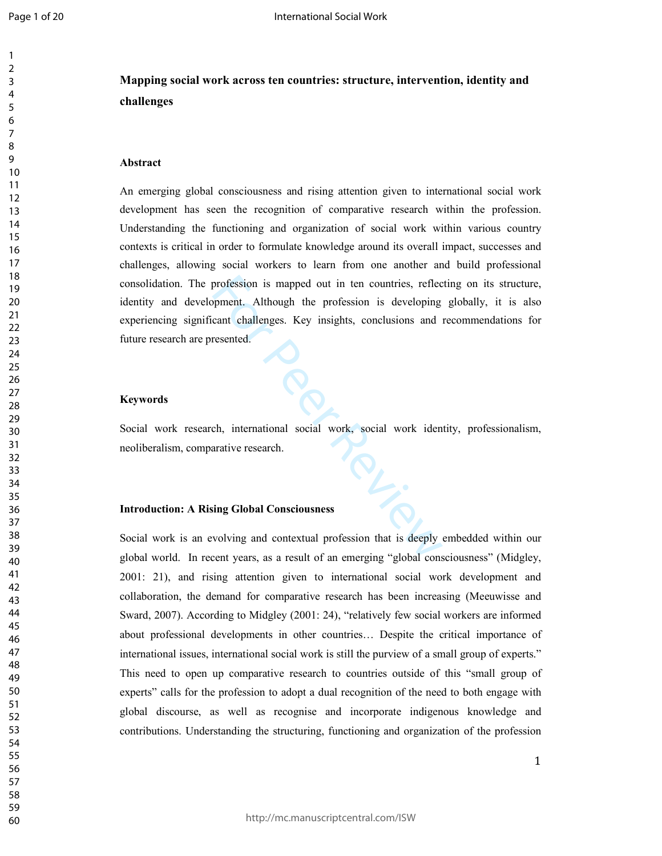# **Mapping social work across ten countries: structure, intervention, identity and challenges**

#### **Abstract**

An emerging global consciousness and rising attention given to international social work development has seen the recognition of comparative research within the profession. Understanding the functioning and organization of social work within various country contexts is critical in order to formulate knowledge around its overall impact, successes and challenges, allowing social workers to learn from one another and build professional consolidation. The profession is mapped out in ten countries, reflecting on its structure, identity and development. Although the profession is developing globally, it is also experiencing significant challenges. Key insights, conclusions and recommendations for future research are presented.

#### **Keywords**

ork, Social work research, international social work, social work identity, professionalism, neoliberalism, comparative research.

#### **Introduction: A Rising Global Consciousness**

Social work is an evolving and contextual profession that is deeply embedded within our global world. In recent years, as a result of an emerging "global consciousness" (Midgley, 2001: 21), and rising attention given to international social work development and collaboration, the demand for comparative research has been increasing (Meeuwisse and Sward, 2007). According to Midgley (2001: 24), "relatively few social workers are informed about professional developments in other countries… Despite the critical importance of international issues, international social work is still the purview of a small group of experts." This need to open up comparative research to countries outside of this "small group of experts" calls for the profession to adopt a dual recognition of the need to both engage with global discourse, as well as recognise and incorporate indigenous knowledge and contributions. Understanding the structuring, functioning and organization of the profession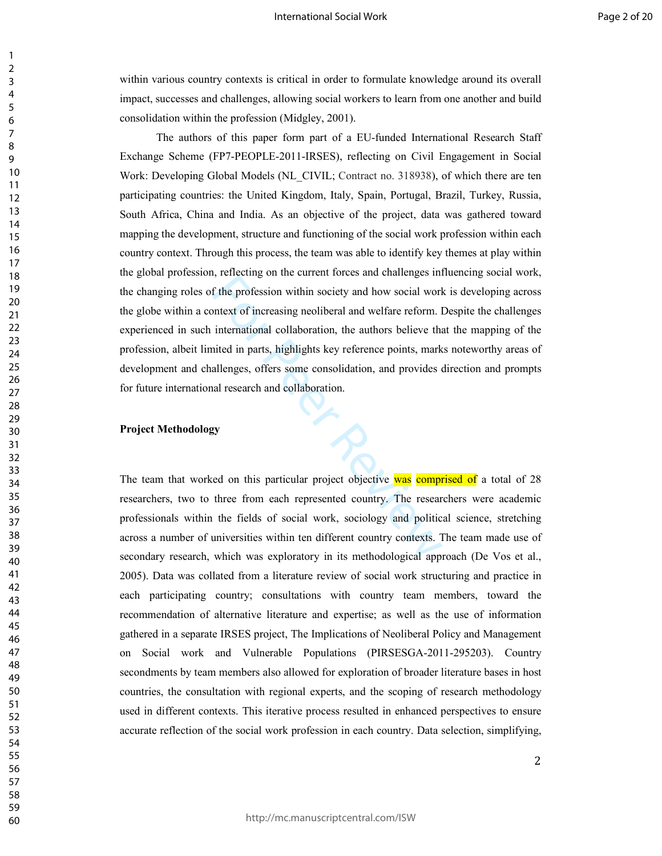within various country contexts is critical in order to formulate knowledge around its overall impact, successes and challenges, allowing social workers to learn from one another and build consolidation within the profession (Midgley, 2001).

For the profession within society and how social work<br>the profession within society and how social work<br>international collaboration, the authors believe that<br>ited in parts, highlights key reference points, mark<br>allenges, o The authors of this paper form part of a EU-funded International Research Staff Exchange Scheme (FP7-PEOPLE-2011-IRSES), reflecting on Civil Engagement in Social Work: Developing Global Models (NL\_CIVIL; Contract no. 318938), of which there are ten participating countries: the United Kingdom, Italy, Spain, Portugal, Brazil, Turkey, Russia, South Africa, China and India. As an objective of the project, data was gathered toward mapping the development, structure and functioning of the social work profession within each country context. Through this process, the team was able to identify key themes at play within the global profession, reflecting on the current forces and challenges influencing social work, the changing roles of the profession within society and how social work is developing across the globe within a context of increasing neoliberal and welfare reform. Despite the challenges experienced in such international collaboration, the authors believe that the mapping of the profession, albeit limited in parts, highlights key reference points, marks noteworthy areas of development and challenges, offers some consolidation, and provides direction and prompts for future international research and collaboration.

#### **Project Methodology**

The team that worked on this particular project objective was comprised of a total of 28 researchers, two to three from each represented country. The researchers were academic professionals within the fields of social work, sociology and political science, stretching across a number of universities within ten different country contexts. The team made use of secondary research, which was exploratory in its methodological approach (De Vos et al., 2005). Data was collated from a literature review of social work structuring and practice in each participating country; consultations with country team members, toward the recommendation of alternative literature and expertise; as well as the use of information gathered in a separate IRSES project, The Implications of Neoliberal Policy and Management on Social work and Vulnerable Populations (PIRSESGA-2011-295203). Country secondments by team members also allowed for exploration of broader literature bases in host countries, the consultation with regional experts, and the scoping of research methodology used in different contexts. This iterative process resulted in enhanced perspectives to ensure accurate reflection of the social work profession in each country. Data selection, simplifying,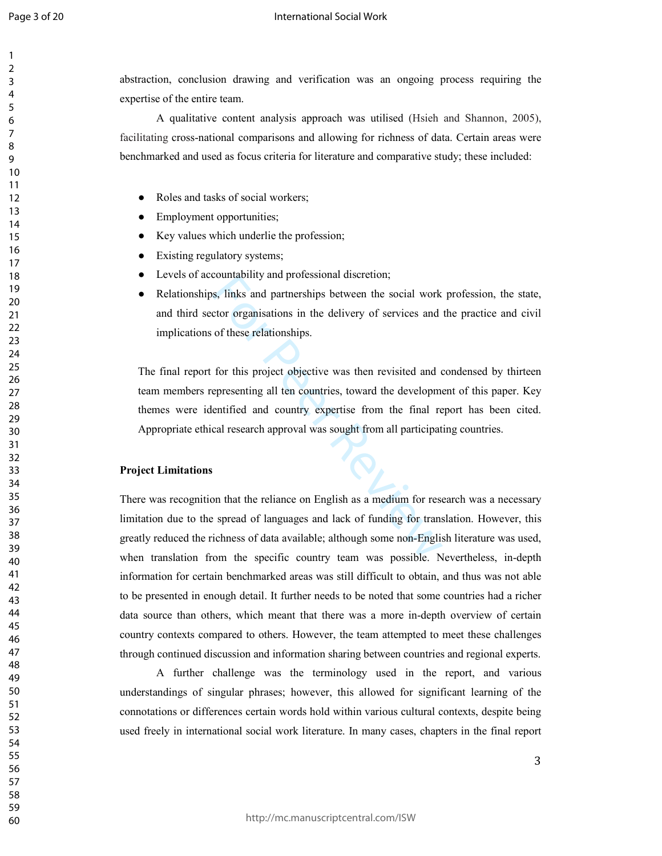Page 3 of 20

#### International Social Work

abstraction, conclusion drawing and verification was an ongoing process requiring the expertise of the entire team.

A qualitative content analysis approach was utilised (Hsieh and Shannon, 2005), facilitating cross-national comparisons and allowing for richness of data. Certain areas were benchmarked and used as focus criteria for literature and comparative study; these included:

- Roles and tasks of social workers;
- Employment opportunities;
- Key values which underlie the profession;
- Existing regulatory systems;
- Levels of accountability and professional discretion;
- Relationships, links and partnerships between the social work profession, the state, and third sector organisations in the delivery of services and the practice and civil implications of these relationships.

countability and protessional discretion,<br>s, links and partnerships between the social work<br>ctor organisations in the delivery of services and<br>of these relationships.<br>for this project objective was then revisited and c<br>epr The final report for this project objective was then revisited and condensed by thirteen team members representing all ten countries, toward the development of this paper. Key themes were identified and country expertise from the final report has been cited. Appropriate ethical research approval was sought from all participating countries.

#### **Project Limitations**

There was recognition that the reliance on English as a medium for research was a necessary limitation due to the spread of languages and lack of funding for translation. However, this greatly reduced the richness of data available; although some non-English literature was used, when translation from the specific country team was possible. Nevertheless, in-depth information for certain benchmarked areas was still difficult to obtain, and thus was not able to be presented in enough detail. It further needs to be noted that some countries had a richer data source than others, which meant that there was a more in-depth overview of certain country contexts compared to others. However, the team attempted to meet these challenges through continued discussion and information sharing between countries and regional experts.

A further challenge was the terminology used in the report, and various understandings of singular phrases; however, this allowed for significant learning of the connotations or differences certain words hold within various cultural contexts, despite being used freely in international social work literature. In many cases, chapters in the final report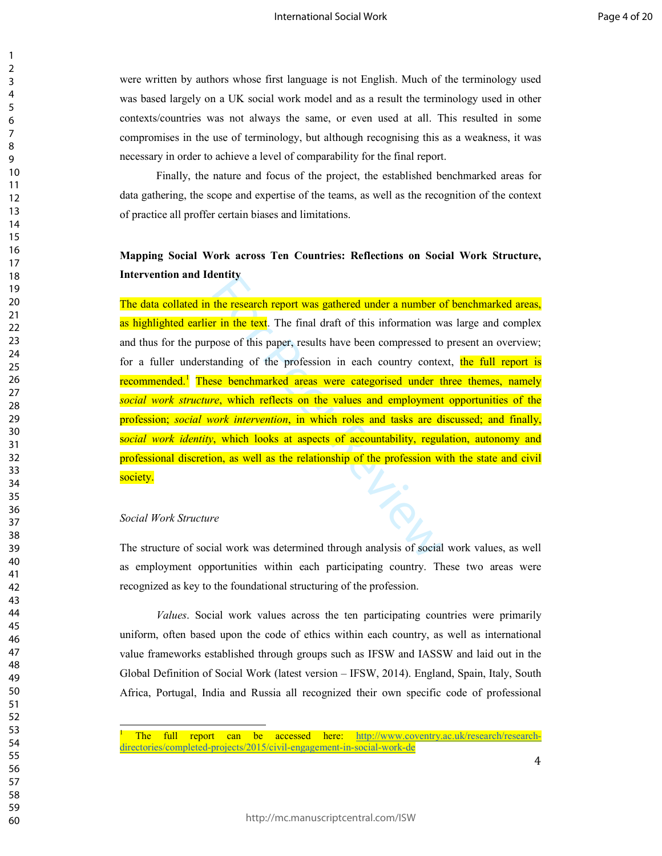were written by authors whose first language is not English. Much of the terminology used was based largely on a UK social work model and as a result the terminology used in other contexts/countries was not always the same, or even used at all. This resulted in some compromises in the use of terminology, but although recognising this as a weakness, it was necessary in order to achieve a level of comparability for the final report.

Finally, the nature and focus of the project, the established benchmarked areas for data gathering, the scope and expertise of the teams, as well as the recognition of the context of practice all proffer certain biases and limitations.

# **Mapping Social Work across Ten Countries: Reflections on Social Work Structure, Intervention and Identity**

The research report was gathered under a number of this research report was gathered under a number of  $r$  in the text. The final draft of this information woose of this paper, results have been compressed to anding of the The data collated in the research report was gathered under a number of benchmarked areas, as highlighted earlier in the text. The final draft of this information was large and complex and thus for the purpose of this paper, results have been compressed to present an overview; for a fuller understanding of the profession in each country context, the full report is recommended.<sup>1</sup> These benchmarked areas were categorised under three themes, namely *social work structure*, which reflects on the values and employment opportunities of the profession; *social work intervention*, in which roles and tasks are discussed; and finally, s*ocial work identity*, which looks at aspects of accountability, regulation, autonomy and professional discretion, as well as the relationship of the profession with the state and civil society.

#### *Social Work Structure*

 $\overline{a}$ 

The structure of social work was determined through analysis of social work values, as well as employment opportunities within each participating country. These two areas were recognized as key to the foundational structuring of the profession.

*Values*. Social work values across the ten participating countries were primarily uniform, often based upon the code of ethics within each country, as well as international value frameworks established through groups such as IFSW and IASSW and laid out in the Global Definition of Social Work (latest version – IFSW, 2014). England, Spain, Italy, South Africa, Portugal, India and Russia all recognized their own specific code of professional

 $\mathbf{1}$  $\overline{2}$ 

The full report can be accessed here: http://www.coventry.ac.uk/research/researchdirectories/completed-projects/2015/civil-engagement-in-social-work-de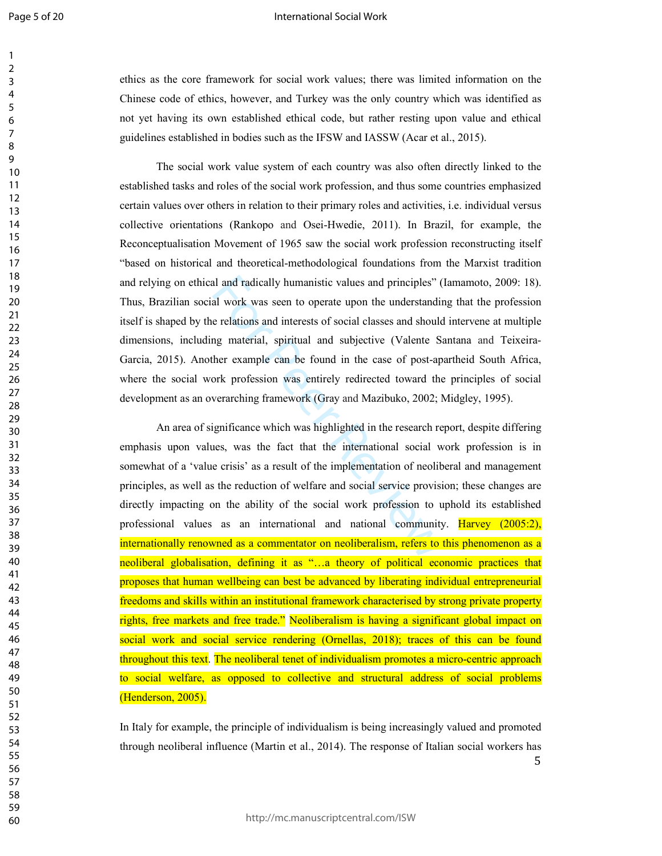Page 5 of 20

#### International Social Work

ethics as the core framework for social work values; there was limited information on the Chinese code of ethics, however, and Turkey was the only country which was identified as not yet having its own established ethical code, but rather resting upon value and ethical guidelines established in bodies such as the IFSW and IASSW (Acar et al., 2015).

The social work value system of each country was also often directly linked to the established tasks and roles of the social work profession, and thus some countries emphasized certain values over others in relation to their primary roles and activities, i.e. individual versus collective orientations (Rankopo and Osei-Hwedie, 2011). In Brazil, for example, the Reconceptualisation Movement of 1965 saw the social work profession reconstructing itself "based on historical and theoretical-methodological foundations from the Marxist tradition and relying on ethical and radically humanistic values and principles" (Iamamoto, 2009: 18). Thus, Brazilian social work was seen to operate upon the understanding that the profession itself is shaped by the relations and interests of social classes and should intervene at multiple dimensions, including material, spiritual and subjective (Valente Santana and Teixeira- Garcia, 2015). Another example can be found in the case of post-apartheid South Africa, where the social work profession was entirely redirected toward the principles of social development as an overarching framework (Gray and Mazibuko, 2002; Midgley, 1995).

al and radically humanistic values and principles" (<br>al work was seen to operate upon the understandin<br>e relations and interests of social classes and should<br>mg material, spiritual and subjective (Valente S;<br>her example ca An area of significance which was highlighted in the research report, despite differing emphasis upon values, was the fact that the international social work profession is in somewhat of a 'value crisis' as a result of the implementation of neoliberal and management principles, as well as the reduction of welfare and social service provision; these changes are directly impacting on the ability of the social work profession to uphold its established professional values as an international and national community. Harvey (2005:2), internationally renowned as a commentator on neoliberalism, refers to this phenomenon as a neoliberal globalisation, defining it as "…a theory of political economic practices that proposes that human wellbeing can best be advanced by liberating individual entrepreneurial freedoms and skills within an institutional framework characterised by strong private property rights, free markets and free trade." Neoliberalism is having a significant global impact on social work and social service rendering (Ornellas, 2018); traces of this can be found throughout this text. The neoliberal tenet of individualism promotes a micro-centric approach to social welfare, as opposed to collective and structural address of social problems (Henderson, 2005).

 In Italy for example, the principle of individualism is being increasingly valued and promoted through neoliberal influence (Martin et al., 2014). The response of Italian social workers has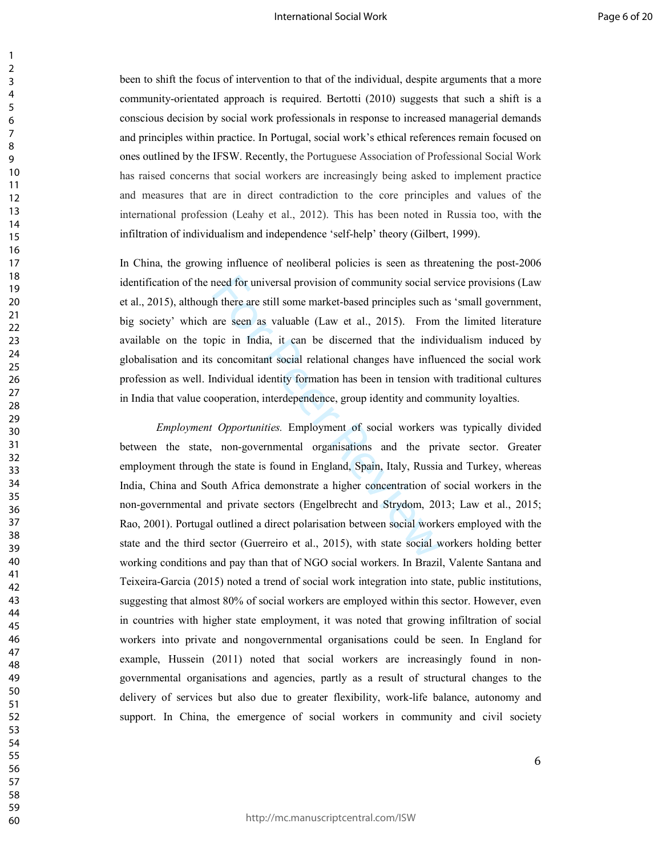been to shift the focus of intervention to that of the individual, despite arguments that a more community-orientated approach is required. Bertotti (2010) suggests that such a shift is a conscious decision by social work professionals in response to increased managerial demands and principles within practice. In Portugal, social work's ethical references remain focused on ones outlined by the IFSW. Recently, the Portuguese Association of Professional Social Work has raised concerns that social workers are increasingly being asked to implement practice and measures that are in direct contradiction to the core principles and values of the international profession (Leahy et al., 2012). This has been noted in Russia too, with the infiltration of individualism and independence 'self-help' theory (Gilbert, 1999).

In China, the growing influence of neoliberal policies is seen as threatening the post-2006 identification of the need for universal provision of community social service provisions (Law et al., 2015), although there are still some market-based principles such as 'small government, big society' which are seen as valuable (Law et al., 2015). From the limited literature available on the topic in India, it can be discerned that the individualism induced by globalisation and its concomitant social relational changes have influenced the social work profession as well. Individual identity formation has been in tension with traditional cultures in India that value cooperation, interdependence, group identity and community loyalties.

need for universal provision of community social se<br>th there are still some market-based principles such a<br>are seen as valuable (Law et al., 2015). From<br>pic in India, it can be discerned that the indiv<br>concomitant social r *Employment Opportunities.* Employment of social workers was typically divided between the state, non-governmental organisations and the private sector. Greater employment through the state is found in England, Spain, Italy, Russia and Turkey, whereas India, China and South Africa demonstrate a higher concentration of social workers in the non-governmental and private sectors (Engelbrecht and Strydom, 2013; Law et al., 2015; Rao, 2001). Portugal outlined a direct polarisation between social workers employed with the state and the third sector (Guerreiro et al., 2015), with state social workers holding better working conditions and pay than that of NGO social workers. In Brazil, Valente Santana and Teixeira-Garcia (2015) noted a trend of social work integration into state, public institutions, suggesting that almost 80% of social workers are employed within this sector. However, even in countries with higher state employment, it was noted that growing infiltration of social workers into private and nongovernmental organisations could be seen. In England for example, Hussein (2011) noted that social workers are increasingly found in nongovernmental organisations and agencies, partly as a result of structural changes to the delivery of services but also due to greater flexibility, work-life balance, autonomy and support. In China, the emergence of social workers in community and civil society

 $\mathbf{1}$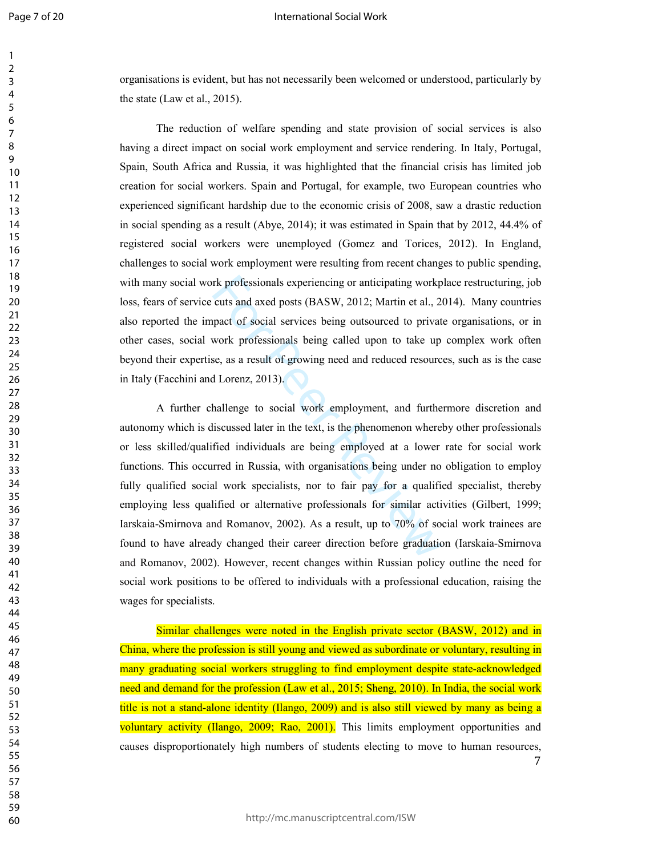#### International Social Work

organisations is evident, but has not necessarily been welcomed or understood, particularly by the state (Law et al., 2015).

The reduction of welfare spending and state provision of social services is also having a direct impact on social work employment and service rendering. In Italy, Portugal, Spain, South Africa and Russia, it was highlighted that the financial crisis has limited job creation for social workers. Spain and Portugal, for example, two European countries who experienced significant hardship due to the economic crisis of 2008, saw a drastic reduction in social spending as a result (Abye, 2014); it was estimated in Spain that by 2012, 44.4% of registered social workers were unemployed (Gomez and Torices, 2012). In England, challenges to social work employment were resulting from recent changes to public spending, with many social work professionals experiencing or anticipating workplace restructuring, job loss, fears of service cuts and axed posts (BASW, 2012; Martin et al., 2014). Many countries also reported the impact of social services being outsourced to private organisations, or in other cases, social work professionals being called upon to take up complex work often beyond their expertise, as a result of growing need and reduced resources, such as is the case in Italy (Facchini and Lorenz, 2013).

rk professionals experiencing or anticipating workp<br>cuts and axed posts (BASW, 2012; Martin et al., 20<br>pact of social services being outsourced to privat<br>work professionals being called upon to take up<br>se, as a result of g A further challenge to social work employment, and furthermore discretion and autonomy which is discussed later in the text, is the phenomenon whereby other professionals or less skilled/qualified individuals are being employed at a lower rate for social work functions. This occurred in Russia, with organisations being under no obligation to employ fully qualified social work specialists, nor to fair pay for a qualified specialist, thereby employing less qualified or alternative professionals for similar activities (Gilbert, 1999; Iarskaia-Smirnova and Romanov, 2002). As a result, up to 70% of social work trainees are found to have already changed their career direction before graduation (Iarskaia-Smirnova and Romanov, 2002). However, recent changes within Russian policy outline the need for social work positions to be offered to individuals with a professional education, raising the wages for specialists.

 Similar challenges were noted in the English private sector (BASW, 2012) and in China, where the profession is still young and viewed as subordinate or voluntary, resulting in many graduating social workers struggling to find employment despite state-acknowledged need and demand for the profession (Law et al., 2015; Sheng, 2010). In India, the social work title is not a stand-alone identity (Ilango, 2009) and is also still viewed by many as being a voluntary activity (Ilango, 2009; Rao, 2001). This limits employment opportunities and causes disproportionately high numbers of students electing to move to human resources,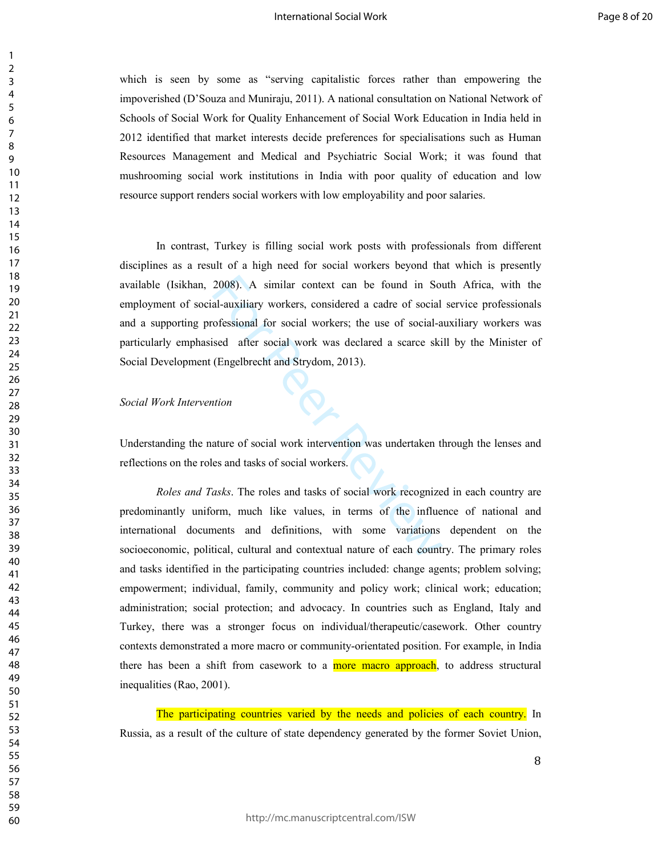which is seen by some as "serving capitalistic forces rather than empowering the impoverished (D'Souza and Muniraju, 2011). A national consultation on National Network of Schools of Social Work for Quality Enhancement of Social Work Education in India held in 2012 identified that market interests decide preferences for specialisations such as Human Resources Management and Medical and Psychiatric Social Work; it was found that mushrooming social work institutions in India with poor quality of education and low resource support renders social workers with low employability and poor salaries.

2008). A similar context can be found in Sou<br>
al-auxiliary workers, considered a cadre of social<br>
rofessional for social workers; the use of social-<br>
ised after social work was declared a scarce ski<br>
(Engelbrecht and Stryd In contrast, Turkey is filling social work posts with professionals from different disciplines as a result of a high need for social workers beyond that which is presently available (Isikhan, 2008). A similar context can be found in South Africa, with the employment of social-auxiliary workers, considered a cadre of social service professionals and a supporting professional for social workers; the use of social-auxiliary workers was particularly emphasised after social work was declared a scarce skill by the Minister of Social Development (Engelbrecht and Strydom, 2013).

#### *Social Work Intervention*

Understanding the nature of social work intervention was undertaken through the lenses and reflections on the roles and tasks of social workers.

*Roles and Tasks*. The roles and tasks of social work recognized in each country are predominantly uniform, much like values, in terms of the influence of national and international documents and definitions, with some variations dependent on the socioeconomic, political, cultural and contextual nature of each country. The primary roles and tasks identified in the participating countries included: change agents; problem solving; empowerment; individual, family, community and policy work; clinical work; education; administration; social protection; and advocacy. In countries such as England, Italy and Turkey, there was a stronger focus on individual/therapeutic/casework. Other country contexts demonstrated a more macro or community-orientated position. For example, in India there has been a shift from casework to a more macro approach, to address structural inequalities (Rao, 2001).

The participating countries varied by the needs and policies of each country. In Russia, as a result of the culture of state dependency generated by the former Soviet Union,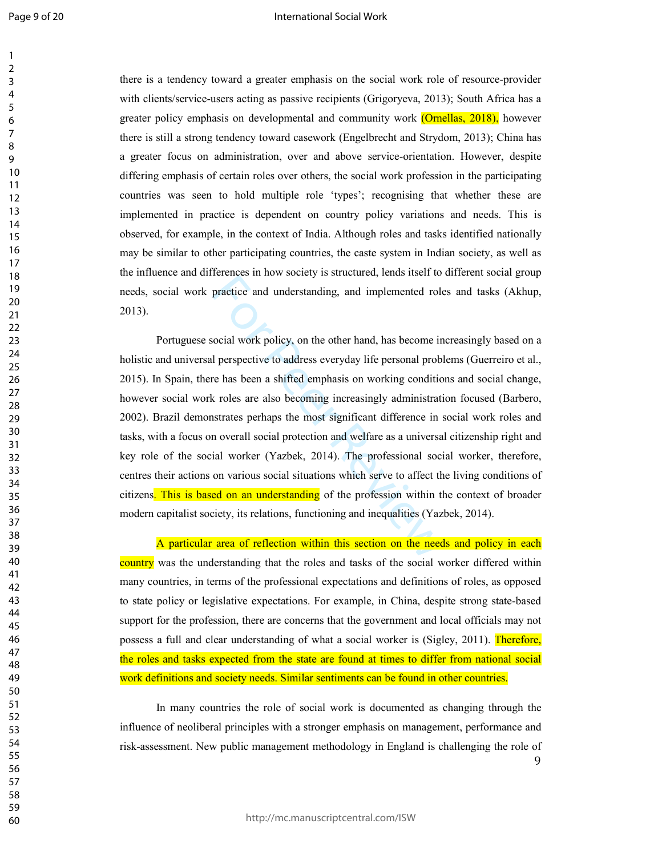#### International Social Work

there is a tendency toward a greater emphasis on the social work role of resource-provider with clients/service-users acting as passive recipients (Grigoryeva, 2013); South Africa has a greater policy emphasis on developmental and community work (Ornellas, 2018), however there is still a strong tendency toward casework (Engelbrecht and Strydom, 2013); China has a greater focus on administration, over and above service-orientation. However, despite differing emphasis of certain roles over others, the social work profession in the participating countries was seen to hold multiple role 'types'; recognising that whether these are implemented in practice is dependent on country policy variations and needs. This is observed, for example, in the context of India. Although roles and tasks identified nationally may be similar to other participating countries, the caste system in Indian society, as well as the influence and differences in how society is structured, lends itself to different social group needs, social work practice and understanding, and implemented roles and tasks (Akhup, 2013).

practice and understanding, and implemented role<br>practice and understanding, and implemented role<br>practice and understanding, and implemented role<br>ocial work policy, on the other hand, has become in<br>perspective to address Portuguese social work policy, on the other hand, has become increasingly based on a holistic and universal perspective to address everyday life personal problems (Guerreiro et al., 2015). In Spain, there has been a shifted emphasis on working conditions and social change, however social work roles are also becoming increasingly administration focused (Barbero, 2002). Brazil demonstrates perhaps the most significant difference in social work roles and tasks, with a focus on overall social protection and welfare as a universal citizenship right and key role of the social worker (Yazbek, 2014). The professional social worker, therefore, centres their actions on various social situations which serve to affect the living conditions of citizens. This is based on an understanding of the profession within the context of broader modern capitalist society, its relations, functioning and inequalities (Yazbek, 2014).

A particular area of reflection within this section on the needs and policy in each country was the understanding that the roles and tasks of the social worker differed within many countries, in terms of the professional expectations and definitions of roles, as opposed to state policy or legislative expectations. For example, in China, despite strong state-based support for the profession, there are concerns that the government and local officials may not possess a full and clear understanding of what a social worker is (Sigley, 2011). Therefore, the roles and tasks expected from the state are found at times to differ from national social work definitions and society needs. Similar sentiments can be found in other countries.

 In many countries the role of social work is documented as changing through the influence of neoliberal principles with a stronger emphasis on management, performance and risk-assessment. New public management methodology in England is challenging the role of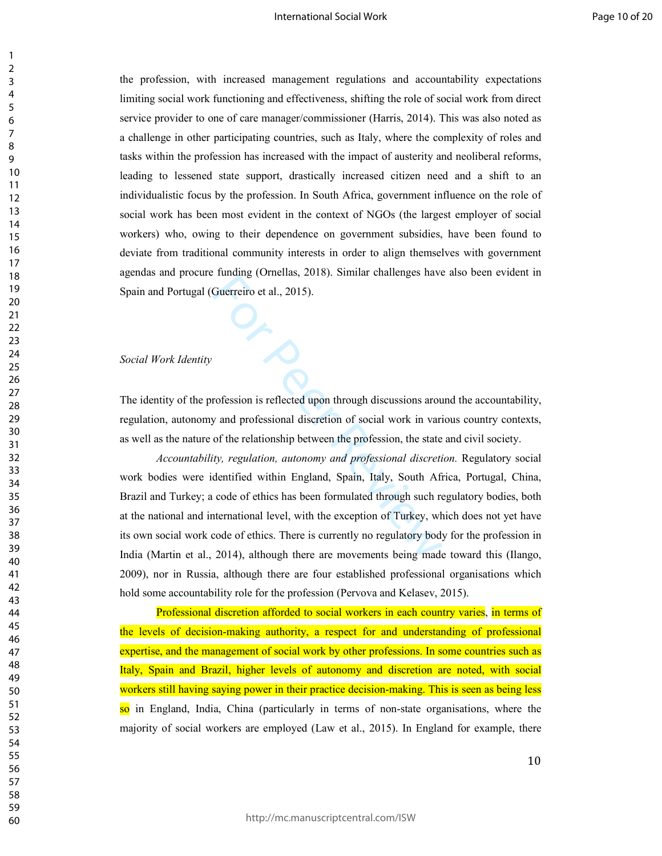#### International Social Work

the profession, with increased management regulations and accountability expectations limiting social work functioning and effectiveness, shifting the role of social work from direct service provider to one of care manager/commissioner (Harris, 2014). This was also noted as a challenge in other participating countries, such as Italy, where the complexity of roles and tasks within the profession has increased with the impact of austerity and neoliberal reforms, leading to lessened state support, drastically increased citizen need and a shift to an individualistic focus by the profession. In South Africa, government influence on the role of social work has been most evident in the context of NGOs (the largest employer of social workers) who, owing to their dependence on government subsidies, have been found to deviate from traditional community interests in order to align themselves with government agendas and procure funding (Ornellas, 2018). Similar challenges have also been evident in Spain and Portugal (Guerreiro et al., 2015).

#### *Social Work Identity*

The identity of the profession is reflected upon through discussions around the accountability, regulation, autonomy and professional discretion of social work in various country contexts, as well as the nature of the relationship between the profession, the state and civil society.

Francing (Criterias, 2010). Similar chancinges have<br>Guerreiro et al., 2015).<br>To determine the allocation of social work in varior<br>of the relationship between the profession, the state<br>tity, regulation, autonomy and profess *Accountability, regulation, autonomy and professional discretion.* Regulatory social work bodies were identified within England, Spain, Italy, South Africa, Portugal, China, Brazil and Turkey; a code of ethics has been formulated through such regulatory bodies, both at the national and international level, with the exception of Turkey, which does not yet have its own social work code of ethics. There is currently no regulatory body for the profession in India (Martin et al., 2014), although there are movements being made toward this (Ilango, 2009), nor in Russia, although there are four established professional organisations which hold some accountability role for the profession (Pervova and Kelasev, 2015).

Professional discretion afforded to social workers in each country varies, in terms of the levels of decision-making authority, a respect for and understanding of professional expertise, and the management of social work by other professions. In some countries such as Italy, Spain and Brazil, higher levels of autonomy and discretion are noted, with social workers still having saying power in their practice decision-making. This is seen as being less so in England, India, China (particularly in terms of non-state organisations, where the majority of social workers are employed (Law et al., 2015). In England for example, there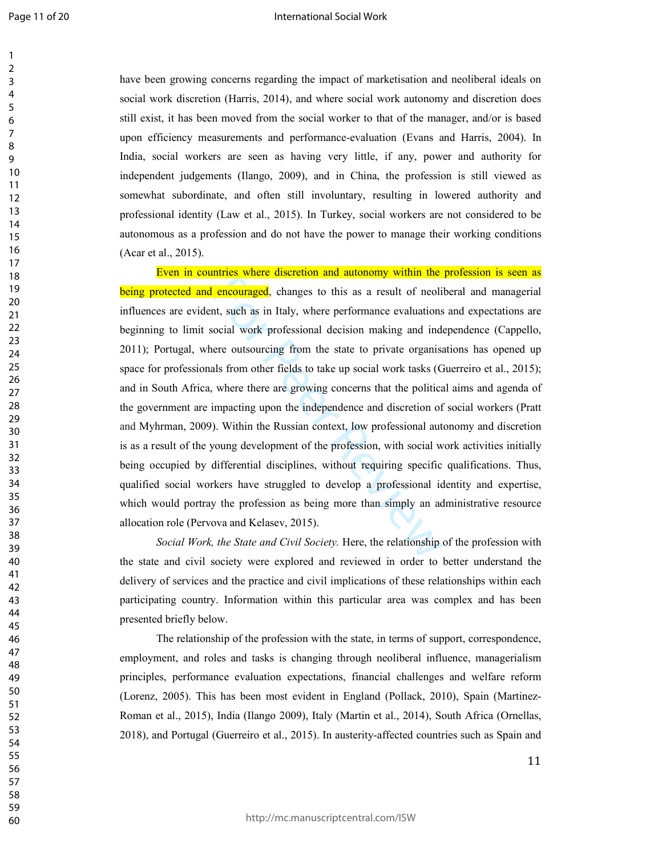#### International Social Work

have been growing concerns regarding the impact of marketisation and neoliberal ideals on social work discretion (Harris, 2014), and where social work autonomy and discretion does still exist, it has been moved from the social worker to that of the manager, and/or is based upon efficiency measurements and performance-evaluation (Evans and Harris, 2004). In India, social workers are seen as having very little, if any, power and authority for independent judgements (Ilango, 2009), and in China, the profession is still viewed as somewhat subordinate, and often still involuntary, resulting in lowered authority and professional identity (Law et al., 2015). In Turkey, social workers are not considered to be autonomous as a profession and do not have the power to manage their working conditions (Acar et al., 2015).

**Example 15 and 16 and 16 and 16 and 16 and 16 and 16 and 16 and 16 and 16 and 16 and 16 and 16 and 16 and 16 and 16 and 16 are performance evaluations ocial work professional decision making and indere outsourcing from th** Even in countries where discretion and autonomy within the profession is seen as being protected and encouraged, changes to this as a result of neoliberal and managerial influences are evident, such as in Italy, where performance evaluations and expectations are beginning to limit social work professional decision making and independence (Cappello, 2011); Portugal, where outsourcing from the state to private organisations has opened up space for professionals from other fields to take up social work tasks (Guerreiro et al., 2015); and in South Africa, where there are growing concerns that the political aims and agenda of the government are impacting upon the independence and discretion of social workers (Pratt and Myhrman, 2009). Within the Russian context, low professional autonomy and discretion is as a result of the young development of the profession, with social work activities initially being occupied by differential disciplines, without requiring specific qualifications. Thus, qualified social workers have struggled to develop a professional identity and expertise, which would portray the profession as being more than simply an administrative resource allocation role (Pervova and Kelasev, 2015).

*Social Work, the State and Civil Society.* Here, the relationship of the profession with the state and civil society were explored and reviewed in order to better understand the delivery of services and the practice and civil implications of these relationships within each participating country. Information within this particular area was complex and has been presented briefly below.

The relationship of the profession with the state, in terms of support, correspondence, employment, and roles and tasks is changing through neoliberal influence, managerialism principles, performance evaluation expectations, financial challenges and welfare reform (Lorenz, 2005). This has been most evident in England (Pollack, 2010), Spain (Martinez-Roman et al., 2015), India (Ilango 2009), Italy (Martin et al., 2014), South Africa (Ornellas, 2018), and Portugal (Guerreiro et al., 2015). In austerity-affected countries such as Spain and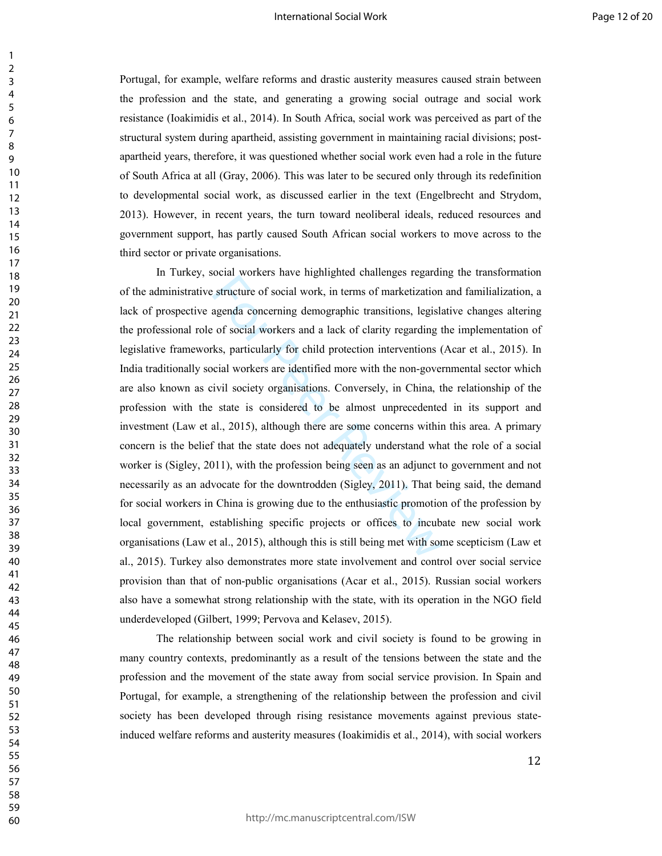Portugal, for example, welfare reforms and drastic austerity measures caused strain between the profession and the state, and generating a growing social outrage and social work resistance (Ioakimidis et al., 2014). In South Africa, social work was perceived as part of the structural system during apartheid, assisting government in maintaining racial divisions; postapartheid years, therefore, it was questioned whether social work even had a role in the future of South Africa at all (Gray, 2006). This was later to be secured only through its redefinition to developmental social work, as discussed earlier in the text (Engelbrecht and Strydom, 2013). However, in recent years, the turn toward neoliberal ideals, reduced resources and government support, has partly caused South African social workers to move across to the third sector or private organisations.

structure of social work, in terms of marketization<br>structure of social work, in terms of marketization<br>agenda concerning demographic transitions, legislar<br>of social workers and a lack of clarity regarding t<br>ks, particular In Turkey, social workers have highlighted challenges regarding the transformation of the administrative structure of social work, in terms of marketization and familialization, a lack of prospective agenda concerning demographic transitions, legislative changes altering the professional role of social workers and a lack of clarity regarding the implementation of legislative frameworks, particularly for child protection interventions (Acar et al., 2015). In India traditionally social workers are identified more with the non-governmental sector which are also known as civil society organisations. Conversely, in China, the relationship of the profession with the state is considered to be almost unprecedented in its support and investment (Law et al., 2015), although there are some concerns within this area. A primary concern is the belief that the state does not adequately understand what the role of a social worker is (Sigley, 2011), with the profession being seen as an adjunct to government and not necessarily as an advocate for the downtrodden (Sigley, 2011). That being said, the demand for social workers in China is growing due to the enthusiastic promotion of the profession by local government, establishing specific projects or offices to incubate new social work organisations (Law et al., 2015), although this is still being met with some scepticism (Law et al., 2015). Turkey also demonstrates more state involvement and control over social service provision than that of non-public organisations (Acar et al., 2015). Russian social workers also have a somewhat strong relationship with the state, with its operation in the NGO field underdeveloped (Gilbert, 1999; Pervova and Kelasev, 2015).

The relationship between social work and civil society is found to be growing in many country contexts, predominantly as a result of the tensions between the state and the profession and the movement of the state away from social service provision. In Spain and Portugal, for example, a strengthening of the relationship between the profession and civil society has been developed through rising resistance movements against previous stateinduced welfare reforms and austerity measures (Ioakimidis et al., 2014), with social workers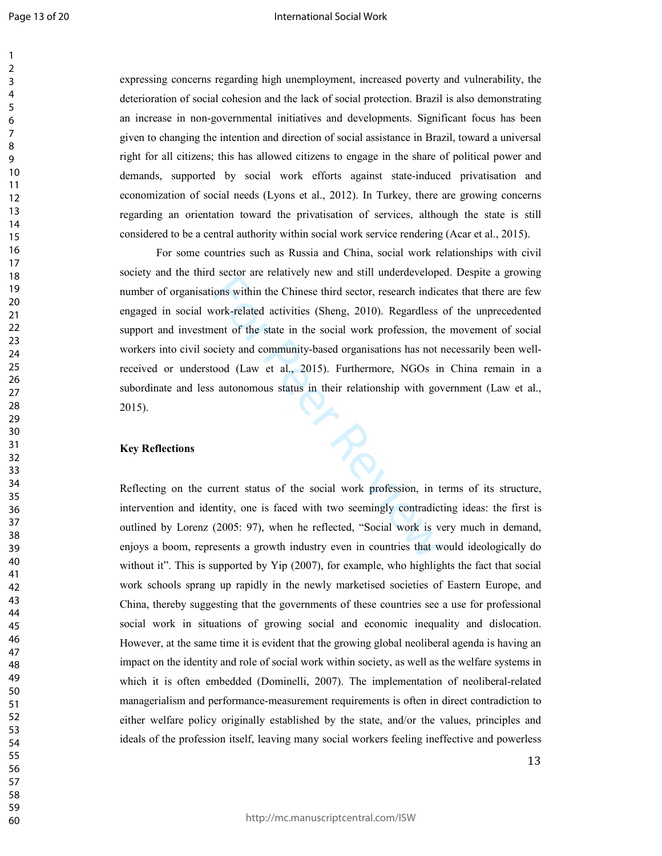#### International Social Work

expressing concerns regarding high unemployment, increased poverty and vulnerability, the deterioration of social cohesion and the lack of social protection. Brazil is also demonstrating an increase in non-governmental initiatives and developments. Significant focus has been given to changing the intention and direction of social assistance in Brazil, toward a universal right for all citizens; this has allowed citizens to engage in the share of political power and demands, supported by social work efforts against state-induced privatisation and economization of social needs (Lyons et al., 2012). In Turkey, there are growing concerns regarding an orientation toward the privatisation of services, although the state is still considered to be a central authority within social work service rendering (Acar et al., 2015).

For the chinese third sector, research indicated activities (Sheng, 2010). Regardless<br>work-related activities (Sheng, 2010). Regardless<br>eent of the state in the social work profession, the<br>ciety and community-based organis For some countries such as Russia and China, social work relationships with civil society and the third sector are relatively new and still underdeveloped. Despite a growing number of organisations within the Chinese third sector, research indicates that there are few engaged in social work-related activities (Sheng, 2010). Regardless of the unprecedented support and investment of the state in the social work profession, the movement of social workers into civil society and community-based organisations has not necessarily been wellreceived or understood (Law et al., 2015). Furthermore, NGOs in China remain in a subordinate and less autonomous status in their relationship with government (Law et al., 2015).

#### **Key Reflections**

Reflecting on the current status of the social work profession, in terms of its structure, intervention and identity, one is faced with two seemingly contradicting ideas: the first is outlined by Lorenz (2005: 97), when he reflected, "Social work is very much in demand, enjoys a boom, represents a growth industry even in countries that would ideologically do without it". This is supported by Yip (2007), for example, who highlights the fact that social work schools sprang up rapidly in the newly marketised societies of Eastern Europe, and China, thereby suggesting that the governments of these countries see a use for professional social work in situations of growing social and economic inequality and dislocation. However, at the same time it is evident that the growing global neoliberal agenda is having an impact on the identity and role of social work within society, as well as the welfare systems in which it is often embedded (Dominelli, 2007). The implementation of neoliberal-related managerialism and performance-measurement requirements is often in direct contradiction to either welfare policy originally established by the state, and/or the values, principles and ideals of the profession itself, leaving many social workers feeling ineffective and powerless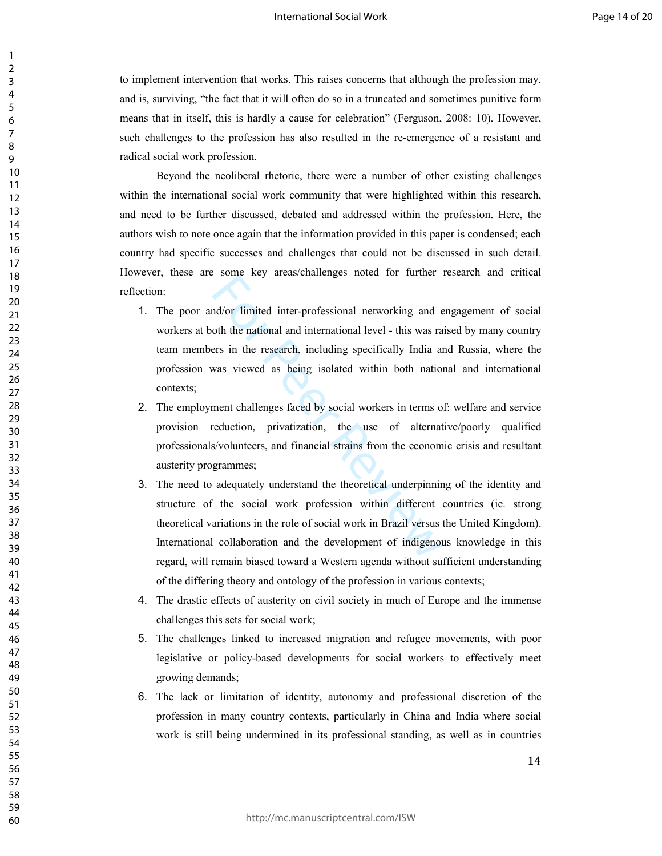to implement intervention that works. This raises concerns that although the profession may, and is, surviving, "the fact that it will often do so in a truncated and sometimes punitive form means that in itself, this is hardly a cause for celebration" (Ferguson, 2008: 10). However, such challenges to the profession has also resulted in the re-emergence of a resistant and radical social work profession.

Beyond the neoliberal rhetoric, there were a number of other existing challenges within the international social work community that were highlighted within this research, and need to be further discussed, debated and addressed within the profession. Here, the authors wish to note once again that the information provided in this paper is condensed; each country had specific successes and challenges that could not be discussed in such detail. However, these are some key areas/challenges noted for further research and critical reflection:

- Mod/or limited inter-professional networking and exampled of the national and international level this was ranged to the national and international level this was ranged as being isolated within both national was viewe 1. The poor and/or limited inter-professional networking and engagement of social workers at both the national and international level - this was raised by many country team members in the research, including specifically India and Russia, where the profession was viewed as being isolated within both national and international contexts;
- 2. The employment challenges faced by social workers in terms of: welfare and service provision reduction, privatization, the use of alternative/poorly qualified professionals/volunteers, and financial strains from the economic crisis and resultant austerity programmes;
- 3. The need to adequately understand the theoretical underpinning of the identity and structure of the social work profession within different countries (ie. strong theoretical variations in the role of social work in Brazil versus the United Kingdom). International collaboration and the development of indigenous knowledge in this regard, will remain biased toward a Western agenda without sufficient understanding of the differing theory and ontology of the profession in various contexts;
- 4. The drastic effects of austerity on civil society in much of Europe and the immense challenges this sets for social work;
- 5. The challenges linked to increased migration and refugee movements, with poor legislative or policy-based developments for social workers to effectively meet growing demands;
- 6. The lack or limitation of identity, autonomy and professional discretion of the profession in many country contexts, particularly in China and India where social work is still being undermined in its professional standing, as well as in countries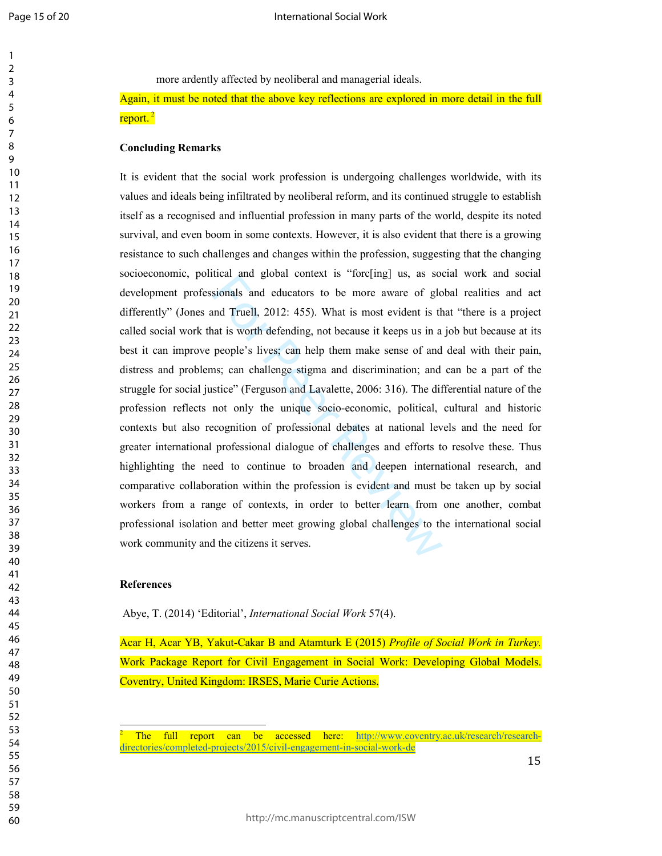more ardently affected by neoliberal and managerial ideals.

Again, it must be noted that the above key reflections are explored in more detail in the full report.<sup>2</sup>

#### **Concluding Remarks**

itian and global context is forefing] as, as soot<br>sionals and educators to be more aware of global<br>md Truell, 2012: 455). What is most evident is the<br>at is worth defending, not because it keeps us in a<br>people's lives; can It is evident that the social work profession is undergoing challenges worldwide, with its values and ideals being infiltrated by neoliberal reform, and its continued struggle to establish itself as a recognised and influential profession in many parts of the world, despite its noted survival, and even boom in some contexts. However, it is also evident that there is a growing resistance to such challenges and changes within the profession, suggesting that the changing socioeconomic, political and global context is "forc[ing] us, as social work and social development professionals and educators to be more aware of global realities and act differently" (Jones and Truell, 2012: 455). What is most evident is that "there is a project called social work that is worth defending, not because it keeps us in a job but because at its best it can improve people's lives; can help them make sense of and deal with their pain, distress and problems; can challenge stigma and discrimination; and can be a part of the struggle for social justice" (Ferguson and Lavalette, 2006: 316). The differential nature of the profession reflects not only the unique socio-economic, political, cultural and historic contexts but also recognition of professional debates at national levels and the need for greater international professional dialogue of challenges and efforts to resolve these. Thus highlighting the need to continue to broaden and deepen international research, and comparative collaboration within the profession is evident and must be taken up by social workers from a range of contexts, in order to better learn from one another, combat professional isolation and better meet growing global challenges to the international social work community and the citizens it serves.

#### **References**

 $\overline{a}$ 

Abye, T. (2014) 'Editorial', *International Social Work* 57(4).

Acar H, Acar YB, Yakut-Cakar B and Atamturk E (2015) *Profile of Social Work in Turkey.* Work Package Report for Civil Engagement in Social Work: Developing Global Models. Coventry, United Kingdom: IRSES, Marie Curie Actions.

The full report can be accessed here: http://www.coventry.ac.uk/research/researchdirectories/completed-projects/2015/civil-engagement-in-social-work-de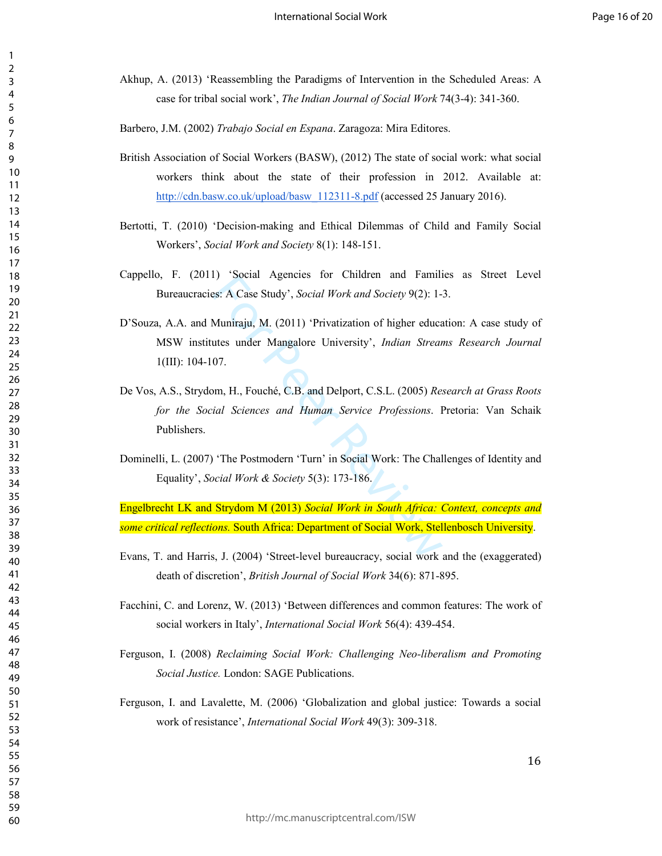- Akhup, A. (2013) 'Reassembling the Paradigms of Intervention in the Scheduled Areas: A case for tribal social work', *The Indian Journal of Social Work* 74(3-4): 341-360.
- Barbero, J.M. (2002) *Trabajo Social en Espana*. Zaragoza: Mira Editores.
- British Association of Social Workers (BASW), (2012) The state of social work: what social workers think about the state of their profession in 2012. Available at: http://cdn.basw.co.uk/upload/basw\_112311-8.pdf (accessed 25 January 2016).
- Bertotti, T. (2010) 'Decision-making and Ethical Dilemmas of Child and Family Social Workers', *Social Work and Society* 8(1): 148-151.
- Cappello, F. (2011) 'Social Agencies for Children and Families as Street Level Bureaucracies: A Case Study', *Social Work and Society* 9(2): 1-3.
- ist. A Case Study', *Social Work and Society* 9(2): 1-<br>Muniraju, M. (2011) 'Privatization of higher educates under Mangalore University', *Indian Streat*<br>07.<br>m, H., Fouché, C.B. and Delport, C.S.L. (2005) *Revial Sciences* D'Souza, A.A. and Muniraju, M. (2011) 'Privatization of higher education: A case study of MSW institutes under Mangalore University', *Indian Streams Research Journal* 1(III): 104-107.
- De Vos, A.S., Strydom, H., Fouché, C.B. and Delport, C.S.L. (2005) *Research at Grass Roots for the Social Sciences and Human Service Professions*. Pretoria: Van Schaik Publishers.
- Dominelli, L. (2007) 'The Postmodern 'Turn' in Social Work: The Challenges of Identity and Equality', *Social Work & Society* 5(3): 173-186.

Engelbrecht LK and Strydom M (2013) *Social Work in South Africa: Context, concepts and some critical reflections.* South Africa: Department of Social Work, Stellenbosch University.

- Evans, T. and Harris, J. (2004) 'Street-level bureaucracy, social work and the (exaggerated) death of discretion', *British Journal of Social Work* 34(6): 871-895.
- Facchini, C. and Lorenz, W. (2013) 'Between differences and common features: The work of social workers in Italy', *International Social Work* 56(4): 439-454.
- Ferguson, I. (2008) *Reclaiming Social Work: Challenging Neo-liberalism and Promoting Social Justice.* London: SAGE Publications.
- Ferguson, I. and Lavalette, M. (2006) 'Globalization and global justice: Towards a social work of resistance', *International Social Work* 49(3): 309-318.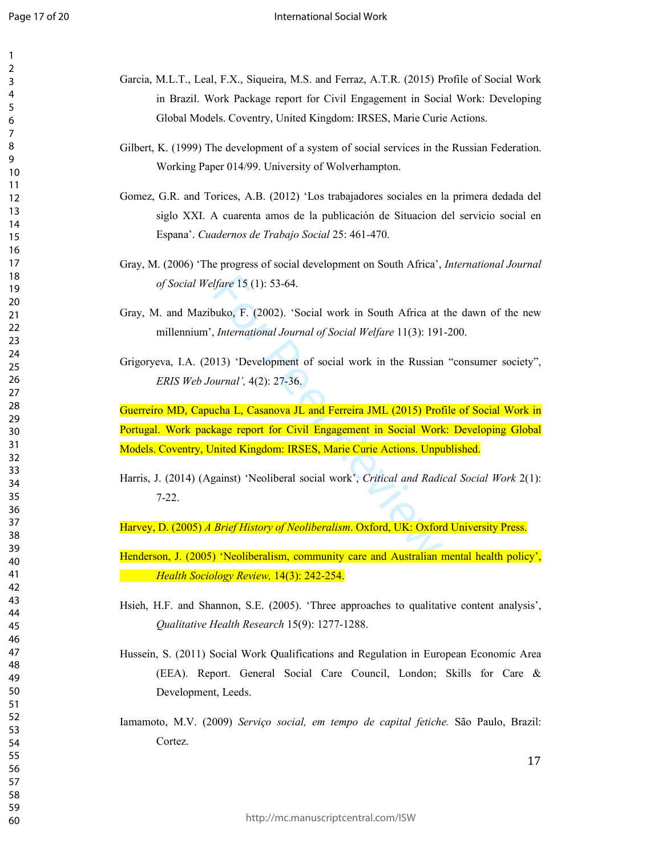| Garcia, M.L.T., Leal, F.X., Siqueira, M.S. and Ferraz, A.T.R. (2015) Profile of Social Work        |
|----------------------------------------------------------------------------------------------------|
| in Brazil. Work Package report for Civil Engagement in Social Work: Developing                     |
| Global Models. Coventry, United Kingdom: IRSES, Marie Curie Actions.                               |
| Gilbert, K. (1999) The development of a system of social services in the Russian Federation.       |
| Working Paper 014/99. University of Wolverhampton.                                                 |
| Gomez, G.R. and Torices, A.B. (2012) 'Los trabajadores sociales en la primera dedada del           |
| siglo XXI. A cuarenta amos de la publicación de Situacion del servicio social en                   |
| Espana'. Cuadernos de Trabajo Social 25: 461-470.                                                  |
| Gray, M. (2006) 'The progress of social development on South Africa', <i>International Journal</i> |
| of Social Welfare 15 (1): 53-64.                                                                   |
| Gray, M. and Mazibuko, F. (2002). 'Social work in South Africa at the dawn of the new              |
| millennium', International Journal of Social Welfare 11(3): 191-200.                               |
|                                                                                                    |
| Grigoryeva, I.A. (2013) 'Development of social work in the Russian "consumer society",             |
| ERIS Web Journal', 4(2): 27-36.                                                                    |
| Guerreiro MD, Capucha L, Casanova JL and Ferreira JML (2015) Profile of Social Work in             |
| Portugal. Work package report for Civil Engagement in Social Work: Developing Global               |
| Models. Coventry, United Kingdom: IRSES, Marie Curie Actions. Unpublished.                         |
|                                                                                                    |
| Harris, J. (2014) (Against) 'Neoliberal social work', Critical and Radical Social Work 2(1):       |
| $7-22.$                                                                                            |
|                                                                                                    |
| Harvey, D. (2005) A Brief History of Neoliberalism. Oxford, UK: Oxford University Press.           |
|                                                                                                    |
| Henderson, J. (2005) 'Neoliberalism, community care and Australian mental health policy',          |
| Health Sociology Review, 14(3): 242-254.                                                           |
| Hsieh, H.F. and Shannon, S.E. (2005). 'Three approaches to qualitative content analysis',          |
|                                                                                                    |
| Qualitative Health Research 15(9): 1277-1288.                                                      |
| Hussein, S. (2011) Social Work Qualifications and Regulation in European Economic Area             |
| (EEA). Report. General Social Care Council, London; Skills for Care &                              |
| Development, Leeds.                                                                                |
|                                                                                                    |
| Iamamoto, M.V. (2009) Serviço social, em tempo de capital fetiche. São Paulo, Brazil:              |
|                                                                                                    |
|                                                                                                    |
| Cortez.                                                                                            |
| 17                                                                                                 |
|                                                                                                    |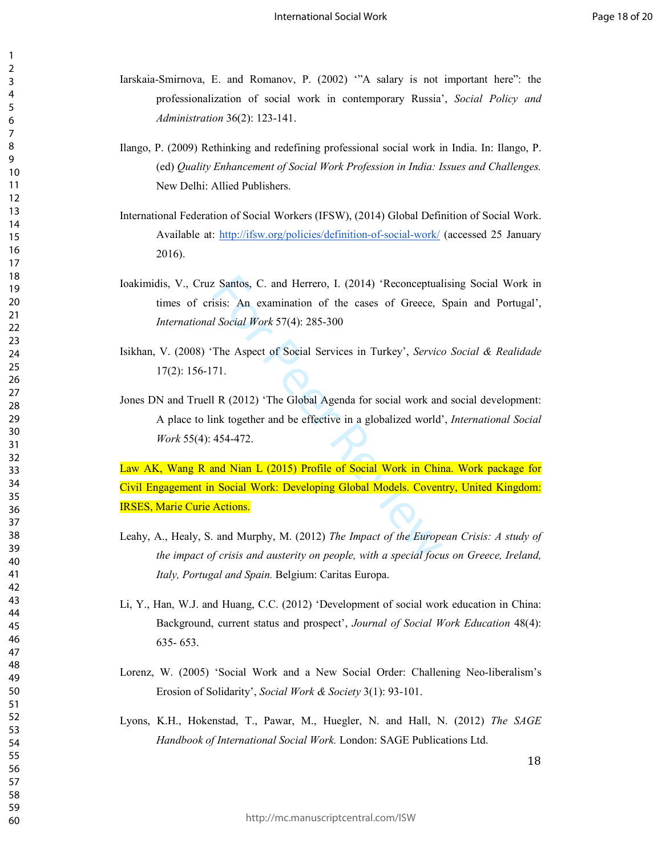Iarskaia-Smirnova, E. and Romanov, P. (2002) '"A salary is not important here": the professionalization of social work in contemporary Russia', *Social Policy and Administration* 36(2): 123-141.

- Ilango, P. (2009) Rethinking and redefining professional social work in India. In: Ilango, P. (ed) *Quality Enhancement of Social Work Profession in India: Issues and Challenges.*  New Delhi: Allied Publishers.
- International Federation of Social Workers (IFSW), (2014) Global Definition of Social Work. Available at: http://ifsw.org/policies/definition-of-social-work/ (accessed 25 January 2016).
- Ioakimidis, V., Cruz Santos, C. and Herrero, I. (2014) 'Reconceptualising Social Work in times of crisis: An examination of the cases of Greece, Spain and Portugal', *International Social Work* 57(4): 285-300
- Isikhan, V. (2008) 'The Aspect of Social Services in Turkey', *Servico Social & Realidade* 17(2): 156-171.
- Jones DN and Truell R (2012) 'The Global Agenda for social work and social development: A place to link together and be effective in a globalized world', *International Social Work* 55(4): 454-472.

Examples 22 Santos, C. and Herrero, I. (2014) 'Reconceptual<br>
isis: An examination of the cases of Greece, 1<br>
I Social Work 57(4): 285-300<br>
The Aspect of Social Services in Turkey', Service<br>
71.<br>
I R (2012) 'The Global Agen Law AK, Wang R and Nian L (2015) Profile of Social Work in China. Work package for Civil Engagement in Social Work: Developing Global Models. Coventry, United Kingdom: IRSES, Marie Curie Actions.

- Leahy, A., Healy, S. and Murphy, M. (2012) *The Impact of the European Crisis: A study of the impact of crisis and austerity on people, with a special focus on Greece, Ireland, Italy, Portugal and Spain.* Belgium: Caritas Europa.
- Li, Y., Han, W.J. and Huang, C.C. (2012) 'Development of social work education in China: Background, current status and prospect', *Journal of Social Work Education* 48(4): 635- 653.
- Lorenz, W. (2005) 'Social Work and a New Social Order: Challening Neo-liberalism's Erosion of Solidarity', *Social Work & Society* 3(1): 93-101.
- Lyons, K.H., Hokenstad, T., Pawar, M., Huegler, N. and Hall, N. (2012) *The SAGE Handbook of International Social Work.* London: SAGE Publications Ltd.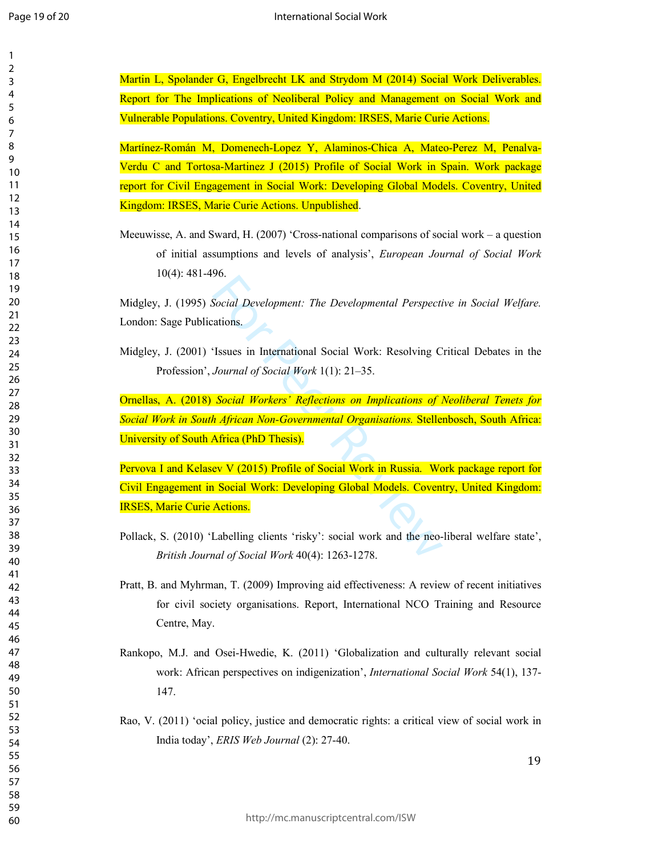| Martin L, Spolander G, Engelbrecht LK and Strydom M (2014) Social Work Deliverables.           |
|------------------------------------------------------------------------------------------------|
| Report for The Implications of Neoliberal Policy and Management on Social Work and             |
| Vulnerable Populations. Coventry, United Kingdom: IRSES, Marie Curie Actions.                  |
| Martínez-Román M, Domenech-Lopez Y, Alaminos-Chica A, Mateo-Perez M, Penalva-                  |
| Verdu C and Tortosa-Martinez J (2015) Profile of Social Work in Spain. Work package            |
| report for Civil Engagement in Social Work: Developing Global Models. Coventry, United         |
|                                                                                                |
| Kingdom: IRSES, Marie Curie Actions. Unpublished.                                              |
| Meeuwisse, A. and Sward, H. (2007) 'Cross-national comparisons of social work – a question     |
| of initial assumptions and levels of analysis', European Journal of Social Work                |
| $10(4)$ : 481-496.                                                                             |
|                                                                                                |
| Midgley, J. (1995) Social Development: The Developmental Perspective in Social Welfare.        |
| London: Sage Publications.                                                                     |
|                                                                                                |
| Midgley, J. (2001) 'Issues in International Social Work: Resolving Critical Debates in the     |
| Profession', Journal of Social Work 1(1): 21–35.                                               |
|                                                                                                |
| Ornellas, A. (2018) Social Workers' Reflections on Implications of Neoliberal Tenets for       |
| Social Work in South African Non-Governmental Organisations. Stellenbosch, South Africa:       |
| University of South Africa (PhD Thesis).                                                       |
|                                                                                                |
| Pervova I and Kelasev V (2015) Profile of Social Work in Russia. Work package report for       |
| Civil Engagement in Social Work: Developing Global Models. Coventry, United Kingdom:           |
| <b>IRSES, Marie Curie Actions.</b>                                                             |
| Pollack, S. (2010) 'Labelling clients 'risky': social work and the neo-liberal welfare state', |
|                                                                                                |
| British Journal of Social Work 40(4): 1263-1278.                                               |
| Pratt, B. and Myhrman, T. (2009) Improving aid effectiveness: A review of recent initiatives   |
| for civil society organisations. Report, International NCO Training and Resource               |
| Centre, May.                                                                                   |
|                                                                                                |
| Rankopo, M.J. and Osei-Hwedie, K. (2011) 'Globalization and culturally relevant social         |
| work: African perspectives on indigenization', International Social Work 54(1), 137-           |
| 147.                                                                                           |
|                                                                                                |
| Rao, V. (2011) 'ocial policy, justice and democratic rights: a critical view of social work in |
| India today', ERIS Web Journal (2): 27-40.                                                     |
| 19                                                                                             |
|                                                                                                |
|                                                                                                |
|                                                                                                |